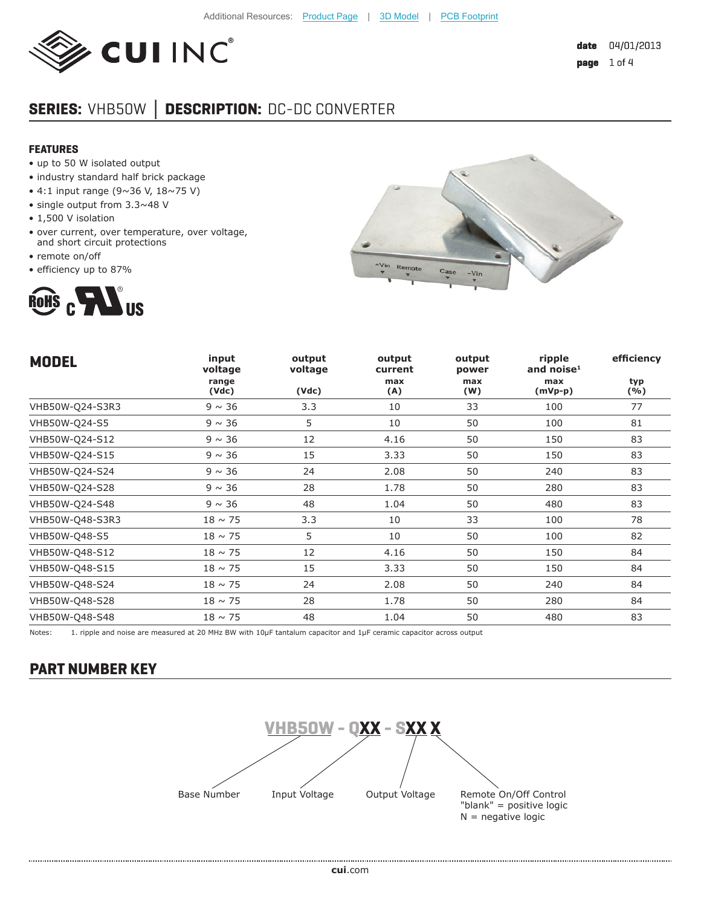

# **SERIES:** VHB50W **│ DESCRIPTION:** DC-DC CONVERTER

#### **FEATURES**

- up to 50 W isolated output
- industry standard half brick package
- 4:1 input range (9~36 V, 18~75 V)
- single output from 3.3~48 V
- 1,500 V isolation
- over current, over temperature, over voltage, and short circuit protections
- remote on/off
- efficiency up to 87%





| <b>MODEL</b>    | input<br>voltage | output<br>voltage | output<br>current | output<br>power | ripple<br>and noise $^1$ | efficiency |
|-----------------|------------------|-------------------|-------------------|-----------------|--------------------------|------------|
|                 | range<br>(Vdc)   | (Vdc)             | max<br>(A)        | max<br>(W)      | max<br>$(mVp-p)$         | typ<br>(%) |
| VHB50W-Q24-S3R3 | $9 \sim 36$      | 3.3               | 10                | 33              | 100                      | 77         |
| VHB50W-Q24-S5   | $9 \sim 36$      | 5                 | 10                | 50              | 100                      | 81         |
| VHB50W-Q24-S12  | $9 \sim 36$      | 12                | 4.16              | 50              | 150                      | 83         |
| VHB50W-Q24-S15  | $9 \sim 36$      | 15                | 3.33              | 50              | 150                      | 83         |
| VHB50W-Q24-S24  | $9 \sim 36$      | 24                | 2.08              | 50              | 240                      | 83         |
| VHB50W-Q24-S28  | $9 \sim 36$      | 28                | 1.78              | 50              | 280                      | 83         |
| VHB50W-Q24-S48  | $9 \sim 36$      | 48                | 1.04              | 50              | 480                      | 83         |
| VHB50W-Q48-S3R3 | $18 \sim 75$     | 3.3               | 10                | 33              | 100                      | 78         |
| VHB50W-Q48-S5   | $18 \sim 75$     | 5                 | 10                | 50              | 100                      | 82         |
| VHB50W-Q48-S12  | $18 \sim 75$     | 12                | 4.16              | 50              | 150                      | 84         |
| VHB50W-Q48-S15  | $18 \sim 75$     | 15                | 3.33              | 50              | 150                      | 84         |
| VHB50W-Q48-S24  | $18 \sim 75$     | 24                | 2.08              | 50              | 240                      | 84         |
| VHB50W-Q48-S28  | $18 \sim 75$     | 28                | 1.78              | 50              | 280                      | 84         |
| VHB50W-Q48-S48  | $18 \sim 75$     | 48                | 1.04              | 50              | 480                      | 83         |

Notes: 1. ripple and noise are measured at 20 MHz BW with 10µF tantalum capacitor and 1µF ceramic capacitor across output

### **PART NUMBER KEY**

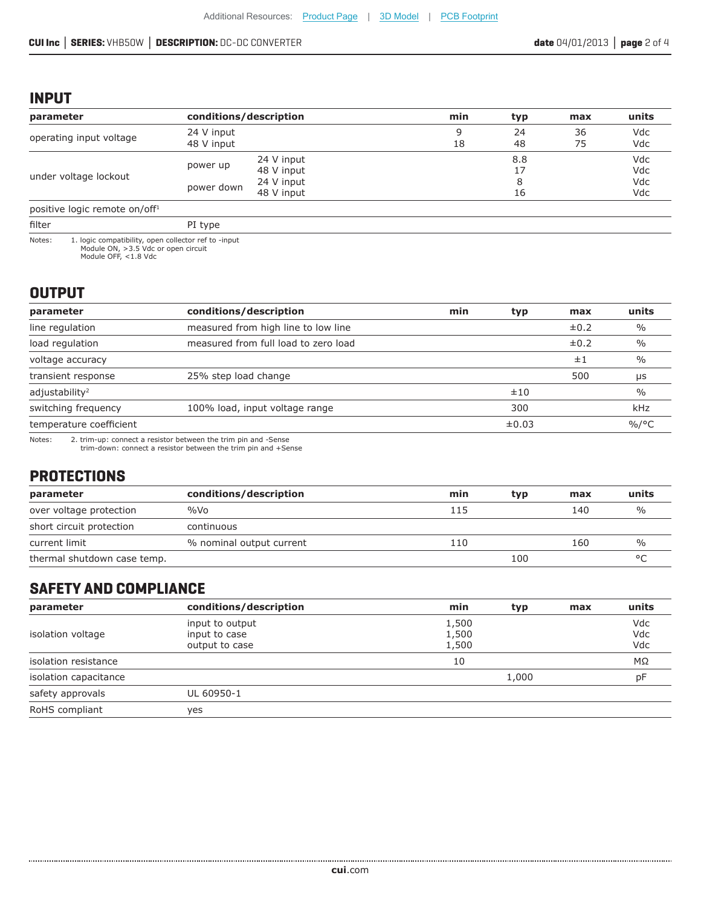### **INPUT**

| parameter                                                      | conditions/description   |                                                      | min     | typ            | max      | units                    |
|----------------------------------------------------------------|--------------------------|------------------------------------------------------|---------|----------------|----------|--------------------------|
| operating input voltage                                        | 24 V input<br>48 V input |                                                      | 9<br>18 | 24<br>48       | 36<br>75 | Vdc<br>Vdc               |
| under voltage lockout                                          | power up<br>power down   | 24 V input<br>48 V input<br>24 V input<br>48 V input |         | 8.8<br>8<br>16 |          | Vdc<br>Vdc<br>Vdc<br>Vdc |
| positive logic remote on/off <sup>1</sup>                      |                          |                                                      |         |                |          |                          |
| filter                                                         | PI type                  |                                                      |         |                |          |                          |
| Notes:<br>1. logic compatibility, open collector ref to -input |                          |                                                      |         |                |          |                          |

Module ON, >3.5 Vdc or open circuit Module OFF, <1.8 Vdc

## **OUTPUT**

| parameter                  | conditions/description               | min | typ   | max       | units         |
|----------------------------|--------------------------------------|-----|-------|-----------|---------------|
| line regulation            | measured from high line to low line  |     |       | $\pm 0.2$ | $\frac{0}{0}$ |
| load regulation            | measured from full load to zero load |     |       | $\pm 0.2$ | $\%$          |
| voltage accuracy           |                                      |     |       | ±1        | $\%$          |
| transient response         | 25% step load change                 |     |       | 500       | μs            |
| adjustability <sup>2</sup> |                                      |     | ±10   |           | $\%$          |
| switching frequency        | 100% load, input voltage range       |     | 300   |           | kHz           |
| temperature coefficient    |                                      |     | ±0.03 |           | $\%$ /°C      |
|                            |                                      |     |       |           |               |

Notes: 2. trim-up: connect a resistor between the trim pin and -Sense trim-down: connect a resistor between the trim pin and +Sense

### **PROTECTIONS**

| parameter                   | conditions/description   | min | typ | max | units         |
|-----------------------------|--------------------------|-----|-----|-----|---------------|
| over voltage protection     | $\%$ Vo                  | 115 |     | 140 | $\frac{0}{0}$ |
| short circuit protection    | continuous               |     |     |     |               |
| current limit               | % nominal output current | 110 |     | 160 | %             |
| thermal shutdown case temp. |                          |     | 100 |     | $\circ$       |

# **SAFETY AND COMPLIANCE**

| parameter             | conditions/description | min   | typ   | max | units |
|-----------------------|------------------------|-------|-------|-----|-------|
|                       | input to output        | 1,500 |       |     | Vdc   |
| isolation voltage     | input to case          | 1,500 |       |     | Vdc   |
|                       | output to case         | 1,500 |       |     | Vdc   |
| isolation resistance  |                        | 10    |       |     | MΩ    |
| isolation capacitance |                        |       | 1,000 |     | рF    |
| safety approvals      | UL 60950-1             |       |       |     |       |
| RoHS compliant        | yes                    |       |       |     |       |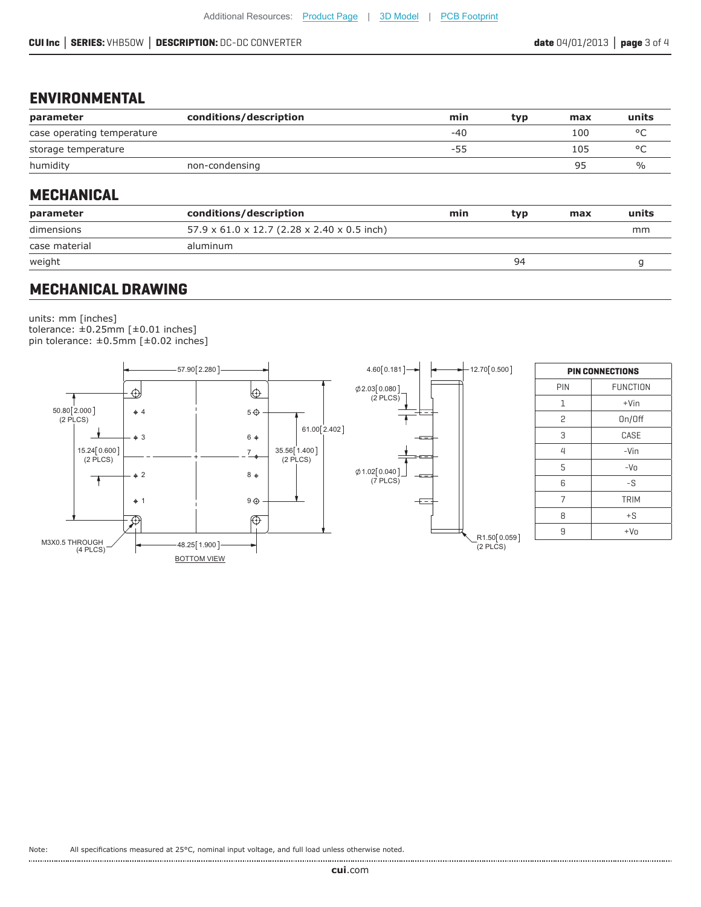### **ENVIRONMENTAL**

| parameter                  | conditions/description | min   | tvp | max | units         |
|----------------------------|------------------------|-------|-----|-----|---------------|
| case operating temperature |                        | $-40$ |     | 100 | $\circ$       |
| storage temperature        |                        | -55   |     | 105 | $\circ$       |
| humidity                   | non-condensing         |       |     | 95  | $\frac{1}{2}$ |

#### **MECHANICAL**

| parameter     | conditions/description                                  | min | tvp | max | units |
|---------------|---------------------------------------------------------|-----|-----|-----|-------|
| dimensions    | $57.9 \times 61.0 \times 12.7$ (2.28 x 2.40 x 0.5 inch) |     |     |     | mm    |
| case material | aluminum                                                |     |     |     |       |
| weight        |                                                         |     | 94  |     |       |
|               |                                                         |     |     |     |       |

### **MECHANICAL DRAWING**

units: mm [inches] tolerance: ±0.25mm [±0.01 inches] pin tolerance: ±0.5mm [±0.02 inches]